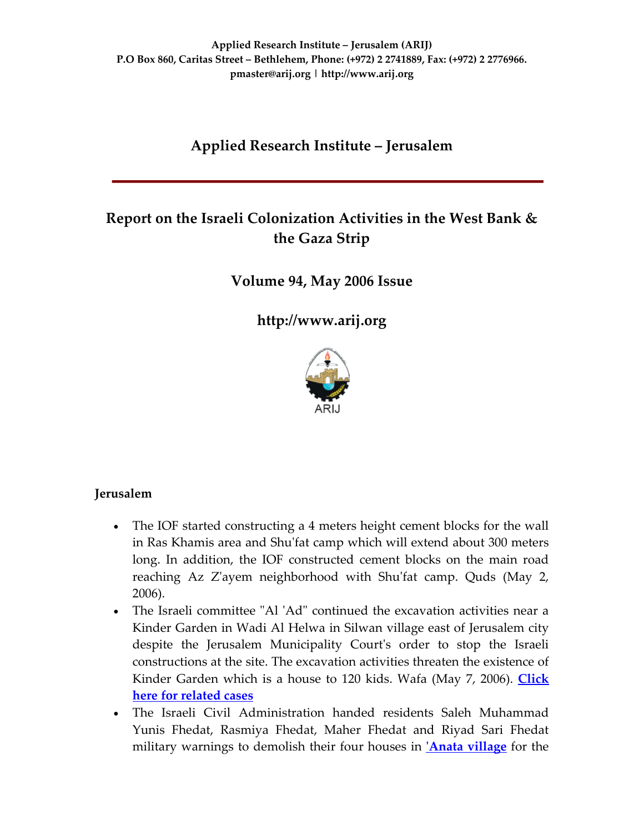# **Applied Research Institute – Jerusalem**

# **Report on the Israeli Colonization Activities in the West Bank & the Gaza Strip**

**Volume 94, May 2006 Issue**

**[http://www.arij.org](http://www.arij.org/)**



### **Jerusalem**

- The IOF started constructing a 4 meters height cement blocks for the wall in Ras Khamis area and Shuʹfat camp which will extend about 300 meters long. In addition, the IOF constructed cement blocks on the main road reaching Az Zʹayem neighborhood with Shuʹfat camp. Quds (May 2, 2006).
- The Israeli committee "Al 'Ad" continued the excavation activities near a Kinder Garden in Wadi Al Helwa in Silwan village east of Jerusalem city despite the Jerusalem Municipality Court's order to stop the Israeli constructions at the site. The excavation activities threaten the existence of Kinder Garden which is a house to 120 kids. Wafa (May 7, 2006). **[Click](http://www.poica.org/editor/case_studies/view.php?recordID=615) here for [related](http://www.poica.org/editor/case_studies/view.php?recordID=615) cases**
- The Israeli Civil Administration handed residents Saleh Muhammad Yunis Fhedat, Rasmiya Fhedat, Maher Fhedat and Riyad Sari Fhedat military warnings to demolish their four houses in **ʹAnata [village](http://www.poica.org/editor/case_studies/view.php?recordID=661)** for the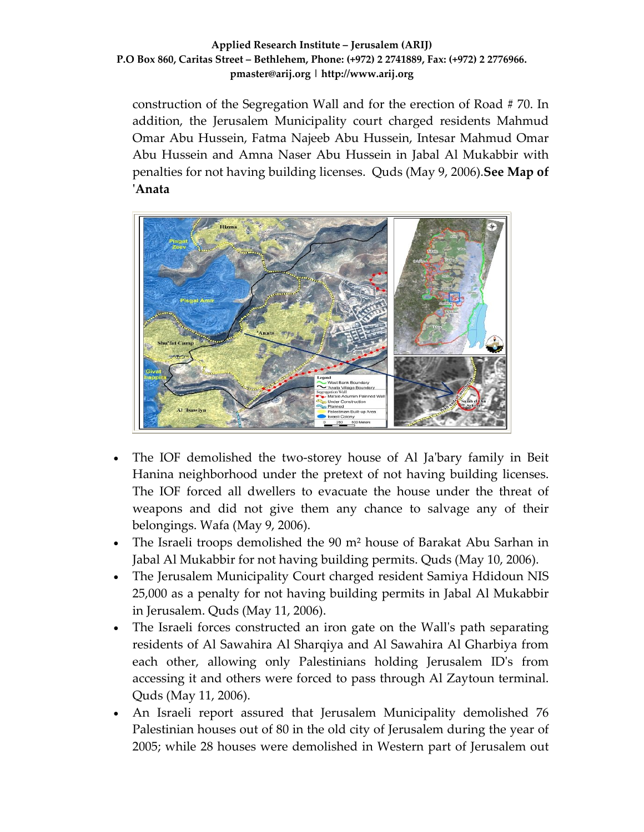construction of the Segregation Wall and for the erection of Road # 70. In addition, the Jerusalem Municipality court charged residents Mahmud Omar Abu Hussein, Fatma Najeeb Abu Hussein, Intesar Mahmud Omar Abu Hussein and Amna Naser Abu Hussein in Jabal Al Mukabbir with penalties for not having building licenses. Quds (May 9, 2006).**See Map of ʹAnata**



- The IOF demolished the two‐storey house of Al Jaʹbary family in Beit Hanina neighborhood under the pretext of not having building licenses. The IOF forced all dwellers to evacuate the house under the threat of weapons and did not give them any chance to salvage any of their belongings. Wafa (May 9, 2006).
- The Israeli troops demolished the 90 m<sup>2</sup> house of Barakat Abu Sarhan in Jabal Al Mukabbir for not having building permits. Quds (May 10, 2006).
- The Jerusalem Municipality Court charged resident Samiya Hdidoun NIS 25,000 as a penalty for not having building permits in Jabal Al Mukabbir in Jerusalem. Quds (May 11, 2006).
- The Israeli forces constructed an iron gate on the Wall's path separating residents of Al Sawahira Al Sharqiya and Al Sawahira Al Gharbiya from each other, allowing only Palestinians holding Jerusalem IDʹs from accessing it and others were forced to pass through Al Zaytoun terminal. Quds (May 11, 2006).
- An Israeli report assured that Jerusalem Municipality demolished 76 Palestinian houses out of 80 in the old city of Jerusalem during the year of 2005; while 28 houses were demolished in Western part of Jerusalem out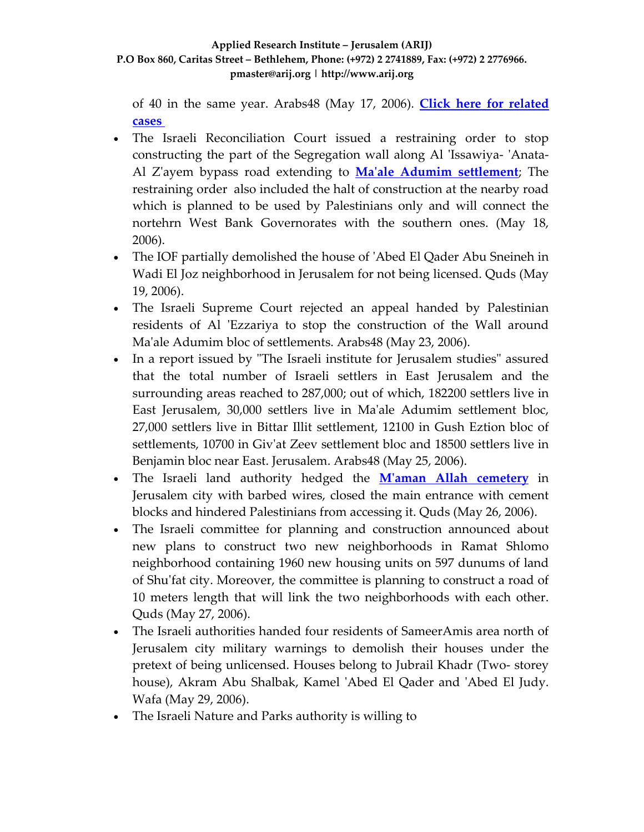of 40 in the same year. Arabs48 (May 17, 2006). **Click here for [related](http://www.poica.org/editor/case_studies/view.php?recordID=819) [cases](http://www.poica.org/editor/case_studies/view.php?recordID=819)**

- The Israeli Reconciliation Court issued a restraining order to stop constructing the part of the Segregation wall along Al 'Issawiya- 'Anata-Al Zʹayem bypass road extending to **Maʹale Adumim [settlement](http://www.poica.org/editor/case_studies/view.php?recordID=656)**; The restraining order also included the halt of construction at the nearby road which is planned to be used by Palestinians only and will connect the nortehrn West Bank Governorates with the southern ones. (May 18, 2006).
- The IOF partially demolished the house of 'Abed El Qader Abu Sneineh in Wadi El Joz neighborhood in Jerusalem for not being licensed. Quds (May 19, 2006).
- The Israeli Supreme Court rejected an appeal handed by Palestinian residents of Al 'Ezzariya to stop the construction of the Wall around Ma'ale Adumim bloc of settlements. Arabs48 (May 23, 2006).
- In a report issued by "The Israeli institute for Jerusalem studies" assured that the total number of Israeli settlers in East Jerusalem and the surrounding areas reached to 287,000; out of which, 182200 settlers live in East Jerusalem, 30,000 settlers live in Maʹale Adumim settlement bloc, 27,000 settlers live in Bittar Illit settlement, 12100 in Gush Eztion bloc of settlements, 10700 in Givʹat Zeev settlement bloc and 18500 settlers live in Benjamin bloc near East. Jerusalem. Arabs48 (May 25, 2006).
- The Israeli land authority hedged the **Mʹaman Allah [cemetery](http://www.poica.org/editor/case_studies/view.php?recordID=773)** in Jerusalem city with barbed wires, closed the main entrance with cement blocks and hindered Palestinians from accessing it. Quds (May 26, 2006).
- The Israeli committee for planning and construction announced about new plans to construct two new neighborhoods in Ramat Shlomo neighborhood containing 1960 new housing units on 597 dunums of land of Shuʹfat city. Moreover, the committee is planning to construct a road of 10 meters length that will link the two neighborhoods with each other. Quds (May 27, 2006).
- The Israeli authorities handed four residents of SameerAmis area north of Jerusalem city military warnings to demolish their houses under the pretext of being unlicensed. Houses belong to Jubrail Khadr (Two‐ storey house), Akram Abu Shalbak, Kamel 'Abed El Qader and 'Abed El Judy. Wafa (May 29, 2006).
- The Israeli Nature and Parks authority is willing to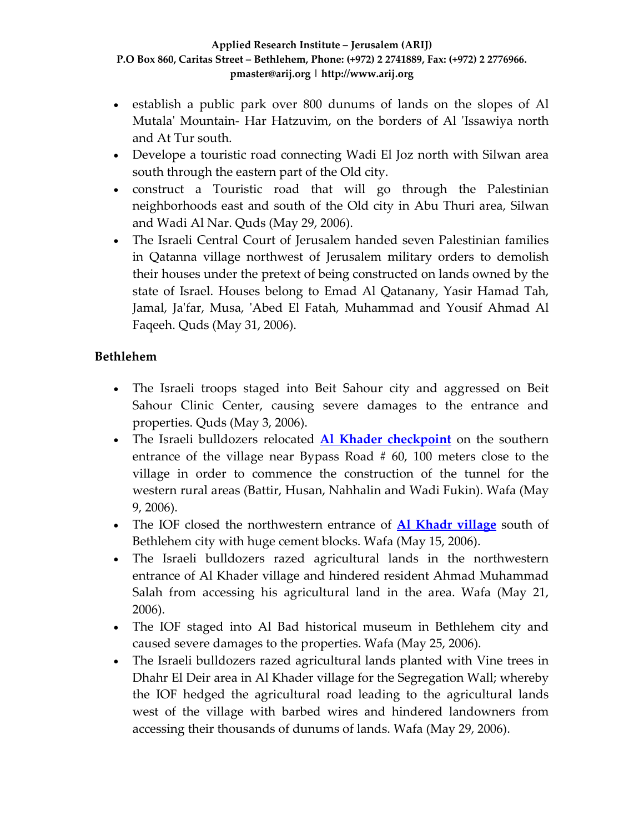- establish a public park over 800 dunums of lands on the slopes of Al Mutala' Mountain- Har Hatzuvim, on the borders of Al 'Issawiya north and At Tur south.
- Develope a touristic road connecting Wadi El Joz north with Silwan area south through the eastern part of the Old city.
- construct a Touristic road that will go through the Palestinian neighborhoods east and south of the Old city in Abu Thuri area, Silwan and Wadi Al Nar. Quds (May 29, 2006).
- The Israeli Central Court of Jerusalem handed seven Palestinian families in Qatanna village northwest of Jerusalem military orders to demolish their houses under the pretext of being constructed on lands owned by the state of Israel. Houses belong to Emad Al Qatanany, Yasir Hamad Tah, Jamal, Ja'far, Musa, 'Abed El Fatah, Muhammad and Yousif Ahmad Al Faqeeh. Quds (May 31, 2006).

## **Bethlehem**

- The Israeli troops staged into Beit Sahour city and aggressed on Beit Sahour Clinic Center, causing severe damages to the entrance and properties. Quds (May 3, 2006).
- The Israeli bulldozers relocated **Al Khader [checkpoint](http://www.poica.org/editor/case_studies/view.php?recordID=839)** on the southern entrance of the village near Bypass Road # 60, 100 meters close to the village in order to commence the construction of the tunnel for the western rural areas (Battir, Husan, Nahhalin and Wadi Fukin). Wafa (May 9, 2006).
- The IOF closed the northwestern entrance of **Al Khadr [village](http://www.poica.org/editor/case_studies/view.php?recordID=768)** south of Bethlehem city with huge cement blocks. Wafa (May 15, 2006).
- The Israeli bulldozers razed agricultural lands in the northwestern entrance of Al Khader village and hindered resident Ahmad Muhammad Salah from accessing his agricultural land in the area. Wafa (May 21, 2006).
- The IOF staged into Al Bad historical museum in Bethlehem city and caused severe damages to the properties. Wafa (May 25, 2006).
- The Israeli bulldozers razed agricultural lands planted with Vine trees in Dhahr El Deir area in Al Khader village for the Segregation Wall; whereby the IOF hedged the agricultural road leading to the agricultural lands west of the village with barbed wires and hindered landowners from accessing their thousands of dunums of lands. Wafa (May 29, 2006).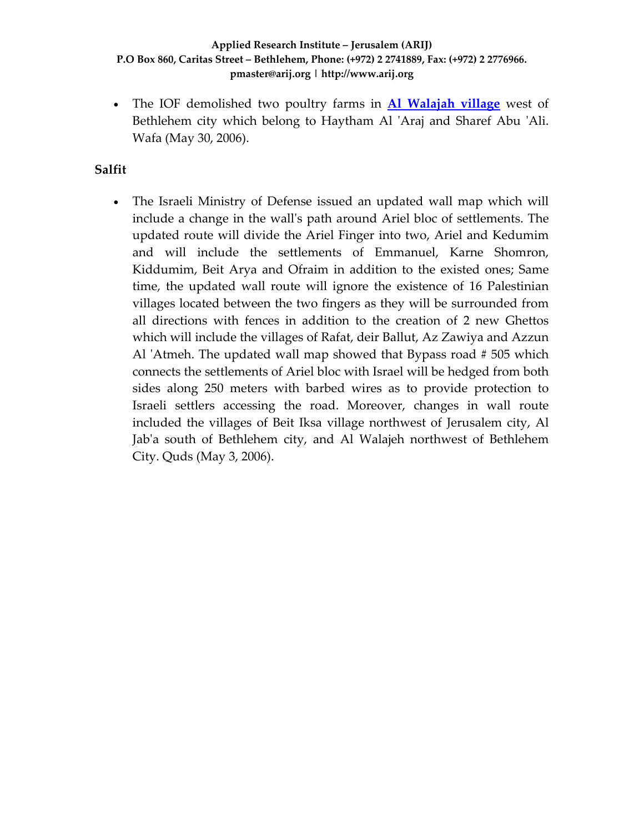• The IOF demolished two poultry farms in **Al [Walajah](http://www.poica.org/editor/case_studies/view.php?recordID=828) village** west of Bethlehem city which belong to Haytham Al 'Araj and Sharef Abu 'Ali. Wafa (May 30, 2006).

### **Salfit**

• The Israeli Ministry of Defense issued an updated wall map which will include a change in the wallʹs path around Ariel bloc of settlements. The updated route will divide the Ariel Finger into two, Ariel and Kedumim and will include the settlements of Emmanuel, Karne Shomron, Kiddumim, Beit Arya and Ofraim in addition to the existed ones; Same time, the updated wall route will ignore the existence of 16 Palestinian villages located between the two fingers as they will be surrounded from all directions with fences in addition to the creation of 2 new Ghettos which will include the villages of Rafat, deir Ballut, Az Zawiya and Azzun Al 'Atmeh. The updated wall map showed that Bypass road #505 which connects the settlements of Ariel bloc with Israel will be hedged from both sides along 250 meters with barbed wires as to provide protection to Israeli settlers accessing the road. Moreover, changes in wall route included the villages of Beit Iksa village northwest of Jerusalem city, Al Jabʹa south of Bethlehem city, and Al Walajeh northwest of Bethlehem City. Quds (May 3, 2006).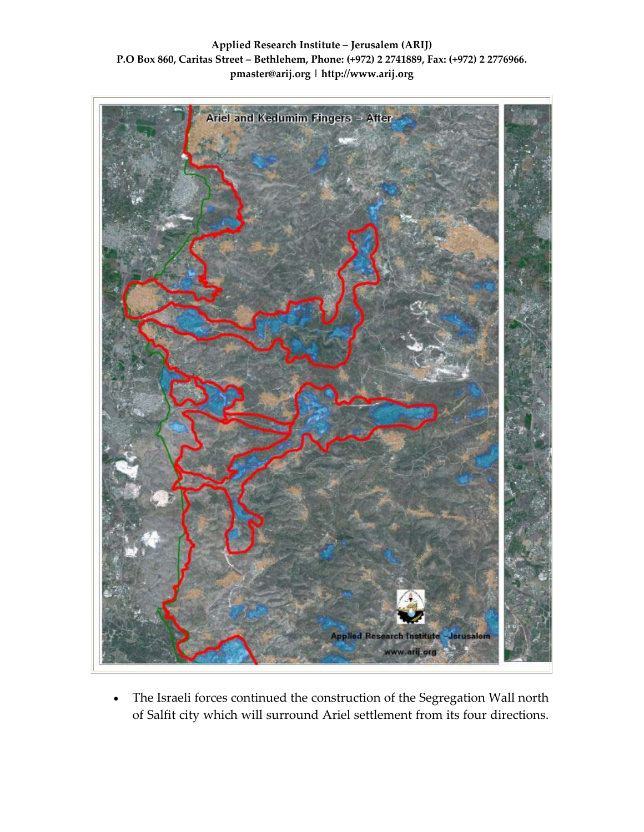**Applied Research Institute – Jerusalem (ARIJ) P.O Box 860, Caritas Street – Bethlehem, Phone: (+972) 2 2741889, Fax: (+972) 2 2776966. pmaster@arij.org | http://www.arij.org**



• The Israeli forces continued the construction of the Segregation Wall north of Salfit city which will surround Ariel settlement from its four directions.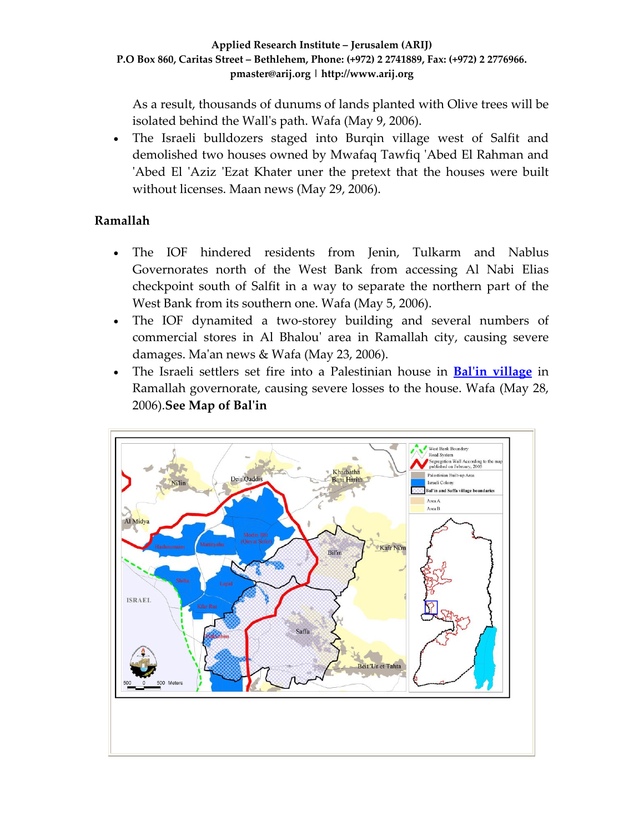As a result, thousands of dunums of lands planted with Olive trees will be isolated behind the Wallʹs path. Wafa (May 9, 2006).

• The Israeli bulldozers staged into Burqin village west of Salfit and demolished two houses owned by Mwafaq Tawfiq ʹAbed El Rahman and 'Abed El 'Aziz 'Ezat Khater uner the pretext that the houses were built without licenses. Maan news (May 29, 2006).

# **Ramallah**

- The IOF hindered residents from Jenin, Tulkarm and Nablus Governorates north of the West Bank from accessing Al Nabi Elias checkpoint south of Salfit in a way to separate the northern part of the West Bank from its southern one. Wafa (May 5, 2006).
- The IOF dynamited a two-storey building and several numbers of commercial stores in Al Bhalouʹ area in Ramallah city, causing severe damages. Ma'an news & Wafa (May 23, 2006).
- The Israeli settlers set fire into a Palestinian house in **Balʹin [village](http://www.poica.org/editor/case_studies/view.php?recordID=599)** in Ramallah governorate, causing severe losses to the house. Wafa (May 28, 2006).**See Map of Balʹin**

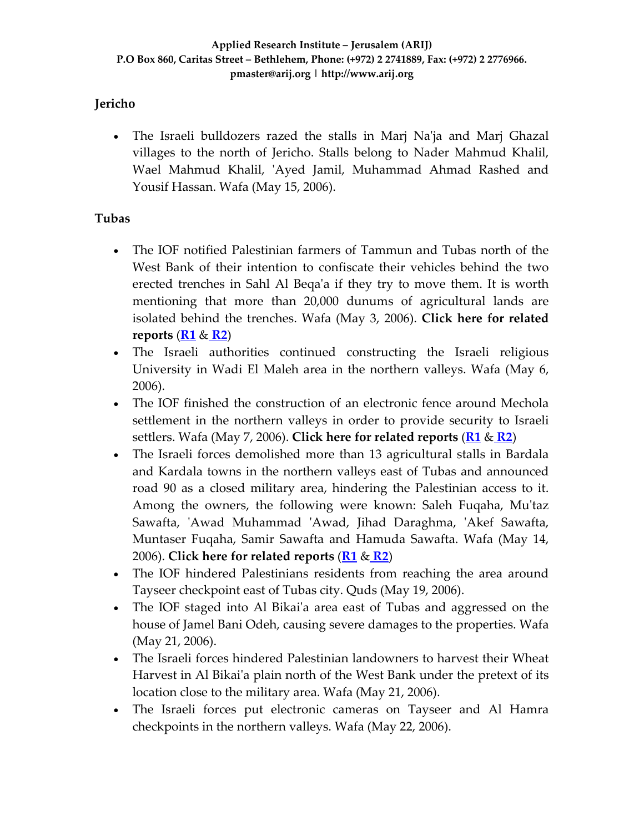### **Jericho**

• The Israeli bulldozers razed the stalls in Marj Na'ja and Marj Ghazal villages to the north of Jericho. Stalls belong to Nader Mahmud Khalil, Wael Mahmud Khalil, 'Ayed Jamil, Muhammad Ahmad Rashed and Yousif Hassan. Wafa (May 15, 2006).

### **Tubas**

- The IOF notified Palestinian farmers of Tammun and Tubas north of the West Bank of their intention to confiscate their vehicles behind the two erected trenches in Sahl Al Beqaʹa if they try to move them. It is worth mentioning that more than 20,000 dunums of agricultural lands are isolated behind the trenches. Wafa (May 3, 2006). **Click here for related reports** (**[R1](http://www.poica.org/editor/case_studies/view.php?recordID=654)** & **[R2](http://www.poica.org/editor/case_studies/view.php?recordID=745)**)
- The Israeli authorities continued constructing the Israeli religious University in Wadi El Maleh area in the northern valleys. Wafa (May 6, 2006).
- The IOF finished the construction of an electronic fence around Mechola settlement in the northern valleys in order to provide security to Israeli settlers. Wafa (May 7, 2006). **Click here for related reports** (**[R1](http://www.poica.org/editor/case_studies/view.php?recordID=654)** & **[R2](http://www.poica.org/editor/case_studies/view.php?recordID=745)**)
- The Israeli forces demolished more than 13 agricultural stalls in Bardala and Kardala towns in the northern valleys east of Tubas and announced road 90 as a closed military area, hindering the Palestinian access to it. Among the owners, the following were known: Saleh Fuqaha, Mu'taz Sawafta, ʹAwad Muhammad ʹAwad, Jihad Daraghma, ʹAkef Sawafta, Muntaser Fuqaha, Samir Sawafta and Hamuda Sawafta. Wafa (May 14, 2006). **Click here for related reports** (**[R1](http://www.poica.org/editor/case_studies/view.php?recordID=654)** & **[R2](http://www.poica.org/editor/case_studies/view.php?recordID=745)**)
- The IOF hindered Palestinians residents from reaching the area around Tayseer checkpoint east of Tubas city. Quds (May 19, 2006).
- The IOF staged into Al Bikai'a area east of Tubas and aggressed on the house of Jamel Bani Odeh, causing severe damages to the properties. Wafa (May 21, 2006).
- The Israeli forces hindered Palestinian landowners to harvest their Wheat Harvest in Al Bikai'a plain north of the West Bank under the pretext of its location close to the military area. Wafa (May 21, 2006).
- The Israeli forces put electronic cameras on Tayseer and Al Hamra checkpoints in the northern valleys. Wafa (May 22, 2006).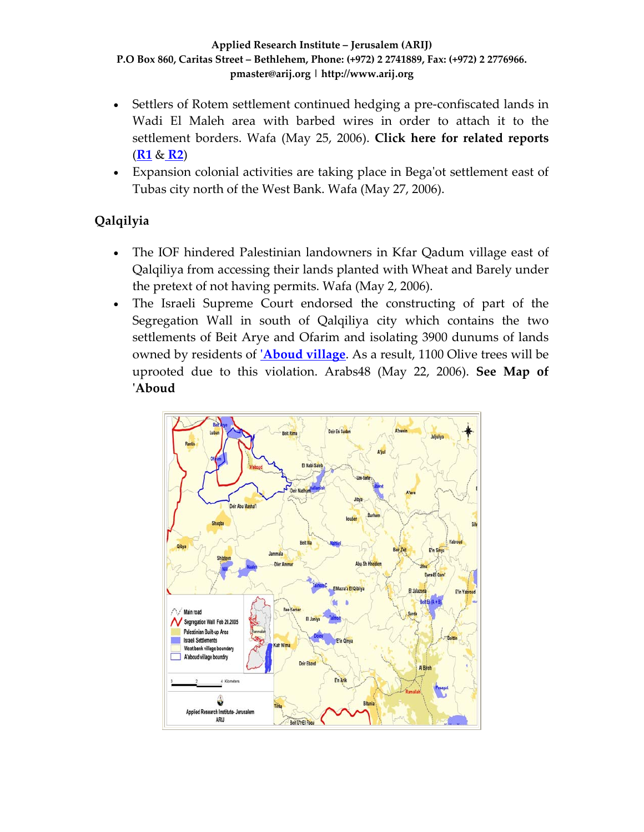- Settlers of Rotem settlement continued hedging a pre-confiscated lands in Wadi El Maleh area with barbed wires in order to attach it to the settlement borders. Wafa (May 25, 2006). **Click here for related reports** (**[R1](http://www.poica.org/editor/case_studies/view.php?recordID=654)** & **[R2](http://www.poica.org/editor/case_studies/view.php?recordID=745)**)
- Expansion colonial activities are taking place in Begaʹot settlement east of Tubas city north of the West Bank. Wafa (May 27, 2006).

# **Qalqilyia**

- The IOF hindered Palestinian landowners in Kfar Qadum village east of Qalqiliya from accessing their lands planted with Wheat and Barely under the pretext of not having permits. Wafa (May 2, 2006).
- The Israeli Supreme Court endorsed the constructing of part of the Segregation Wall in south of Qalqiliya city which contains the two settlements of Beit Arye and Ofarim and isolating 3900 dunums of lands owned by residents of **ʹ[Aboud](http://www.poica.org/editor/case_studies/view.php?recordID=604) village**. As a result, 1100 Olive trees will be uprooted due to this violation. Arabs48 (May 22, 2006). **See Map of ʹAboud**

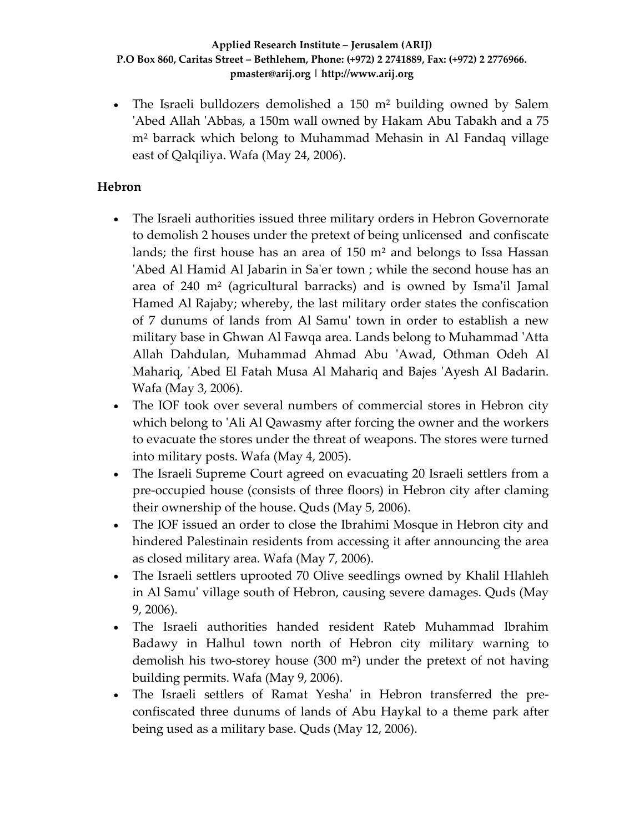• The Israeli bulldozers demolished a 150 m<sup>2</sup> building owned by Salem 'Abed Allah 'Abbas, a 150m wall owned by Hakam Abu Tabakh and a 75 m² barrack which belong to Muhammad Mehasin in Al Fandaq village east of Qalqiliya. Wafa (May 24, 2006).

### **Hebron**

- The Israeli authorities issued three military orders in Hebron Governorate to demolish 2 houses under the pretext of being unlicensed and confiscate lands; the first house has an area of 150 m² and belongs to Issa Hassan 'Abed Al Hamid Al Jabarin in Sa'er town ; while the second house has an area of 240 m² (agricultural barracks) and is owned by Ismaʹil Jamal Hamed Al Rajaby; whereby, the last military order states the confiscation of 7 dunums of lands from Al Samuʹ town in order to establish a new military base in Ghwan Al Fawqa area. Lands belong to Muhammad ʹAtta Allah Dahdulan, Muhammad Ahmad Abu ʹAwad, Othman Odeh Al Mahariq, 'Abed El Fatah Musa Al Mahariq and Bajes 'Ayesh Al Badarin. Wafa (May 3, 2006).
- The IOF took over several numbers of commercial stores in Hebron city which belong to 'Ali Al Qawasmy after forcing the owner and the workers to evacuate the stores under the threat of weapons. The stores were turned into military posts. Wafa (May 4, 2005).
- The Israeli Supreme Court agreed on evacuating 20 Israeli settlers from a pre‐occupied house (consists of three floors) in Hebron city after claming their ownership of the house. Quds (May 5, 2006).
- The IOF issued an order to close the Ibrahimi Mosque in Hebron city and hindered Palestinain residents from accessing it after announcing the area as closed military area. Wafa (May 7, 2006).
- The Israeli settlers uprooted 70 Olive seedlings owned by Khalil Hlahleh in Al Samuʹ village south of Hebron, causing severe damages. Quds (May 9, 2006).
- The Israeli authorities handed resident Rateb Muhammad Ibrahim Badawy in Halhul town north of Hebron city military warning to demolish his two‐storey house (300 m²) under the pretext of not having building permits. Wafa (May 9, 2006).
- The Israeli settlers of Ramat Yesha' in Hebron transferred the preconfiscated three dunums of lands of Abu Haykal to a theme park after being used as a military base. Quds (May 12, 2006).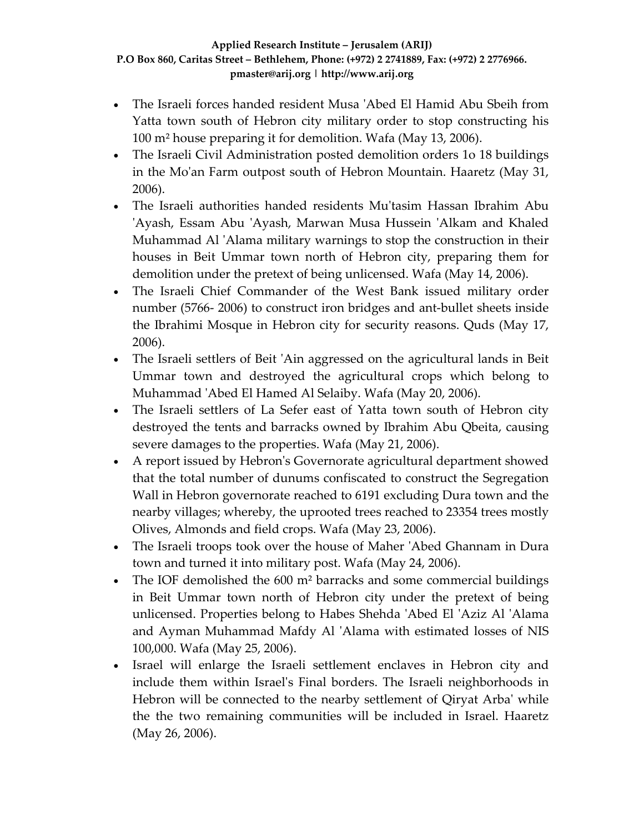- The Israeli forces handed resident Musa ʹAbed El Hamid Abu Sbeih from Yatta town south of Hebron city military order to stop constructing his 100 m² house preparing it for demolition. Wafa (May 13, 2006).
- The Israeli Civil Administration posted demolition orders 1o 18 buildings in the Moʹan Farm outpost south of Hebron Mountain. Haaretz (May 31, 2006).
- The Israeli authorities handed residents Mu'tasim Hassan Ibrahim Abu 'Ayash, Essam Abu 'Ayash, Marwan Musa Hussein 'Alkam and Khaled Muhammad Al ʹAlama military warnings to stop the construction in their houses in Beit Ummar town north of Hebron city, preparing them for demolition under the pretext of being unlicensed. Wafa (May 14, 2006).
- The Israeli Chief Commander of the West Bank issued military order number (5766‐ 2006) to construct iron bridges and ant‐bullet sheets inside the Ibrahimi Mosque in Hebron city for security reasons. Quds (May 17, 2006).
- The Israeli settlers of Beit 'Ain aggressed on the agricultural lands in Beit Ummar town and destroyed the agricultural crops which belong to Muhammad ʹAbed El Hamed Al Selaiby. Wafa (May 20, 2006).
- The Israeli settlers of La Sefer east of Yatta town south of Hebron city destroyed the tents and barracks owned by Ibrahim Abu Qbeita, causing severe damages to the properties. Wafa (May 21, 2006).
- A report issued by Hebron's Governorate agricultural department showed that the total number of dunums confiscated to construct the Segregation Wall in Hebron governorate reached to 6191 excluding Dura town and the nearby villages; whereby, the uprooted trees reached to 23354 trees mostly Olives, Almonds and field crops. Wafa (May 23, 2006).
- The Israeli troops took over the house of Maher 'Abed Ghannam in Dura town and turned it into military post. Wafa (May 24, 2006).
- The IOF demolished the 600 m<sup>2</sup> barracks and some commercial buildings in Beit Ummar town north of Hebron city under the pretext of being unlicensed. Properties belong to Habes Shehda ʹAbed El ʹAziz Al ʹAlama and Ayman Muhammad Mafdy Al 'Alama with estimated losses of NIS 100,000. Wafa (May 25, 2006).
- Israel will enlarge the Israeli settlement enclaves in Hebron city and include them within Israelʹs Final borders. The Israeli neighborhoods in Hebron will be connected to the nearby settlement of Qiryat Arbaʹ while the the two remaining communities will be included in Israel. Haaretz (May 26, 2006).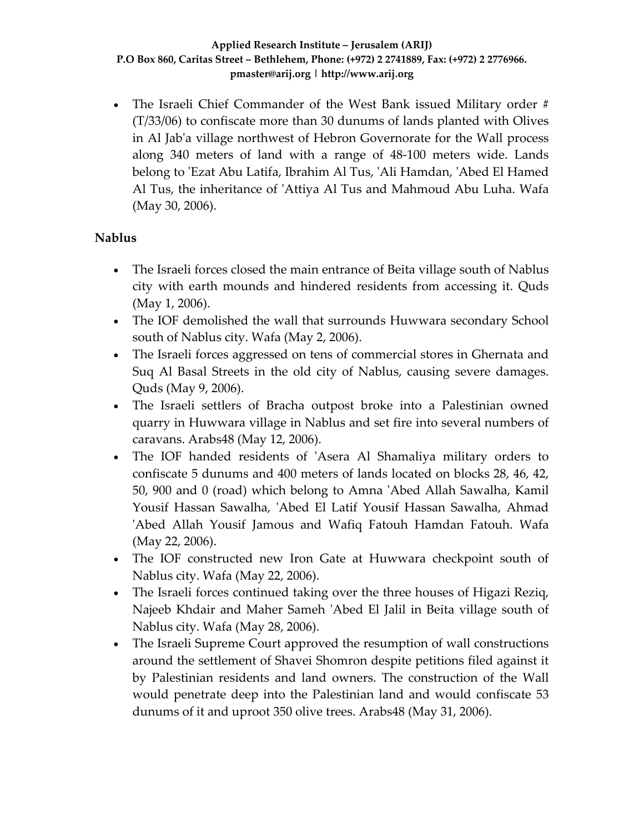• The Israeli Chief Commander of the West Bank issued Military order # (T/33/06) to confiscate more than 30 dunums of lands planted with Olives in Al Jabʹa village northwest of Hebron Governorate for the Wall process along 340 meters of land with a range of 48‐100 meters wide. Lands belong to ʹEzat Abu Latifa, Ibrahim Al Tus, ʹAli Hamdan, ʹAbed El Hamed Al Tus, the inheritance of ʹAttiya Al Tus and Mahmoud Abu Luha. Wafa (May 30, 2006).

## **Nablus**

- The Israeli forces closed the main entrance of Beita village south of Nablus city with earth mounds and hindered residents from accessing it. Quds (May 1, 2006).
- The IOF demolished the wall that surrounds Huwwara secondary School south of Nablus city. Wafa (May 2, 2006).
- The Israeli forces aggressed on tens of commercial stores in Ghernata and Suq Al Basal Streets in the old city of Nablus, causing severe damages. Quds (May 9, 2006).
- The Israeli settlers of Bracha outpost broke into a Palestinian owned quarry in Huwwara village in Nablus and set fire into several numbers of caravans. Arabs48 (May 12, 2006).
- The IOF handed residents of 'Asera Al Shamaliya military orders to confiscate 5 dunums and 400 meters of lands located on blocks 28, 46, 42, 50, 900 and 0 (road) which belong to Amna ʹAbed Allah Sawalha, Kamil Yousif Hassan Sawalha, ʹAbed El Latif Yousif Hassan Sawalha, Ahmad ʹAbed Allah Yousif Jamous and Wafiq Fatouh Hamdan Fatouh. Wafa (May 22, 2006).
- The IOF constructed new Iron Gate at Huwwara checkpoint south of Nablus city. Wafa (May 22, 2006).
- The Israeli forces continued taking over the three houses of Higazi Reziq, Najeeb Khdair and Maher Sameh ʹAbed El Jalil in Beita village south of Nablus city. Wafa (May 28, 2006).
- The Israeli Supreme Court approved the resumption of wall constructions around the settlement of Shavei Shomron despite petitions filed against it by Palestinian residents and land owners. The construction of the Wall would penetrate deep into the Palestinian land and would confiscate 53 dunums of it and uproot 350 olive trees. Arabs48 (May 31, 2006).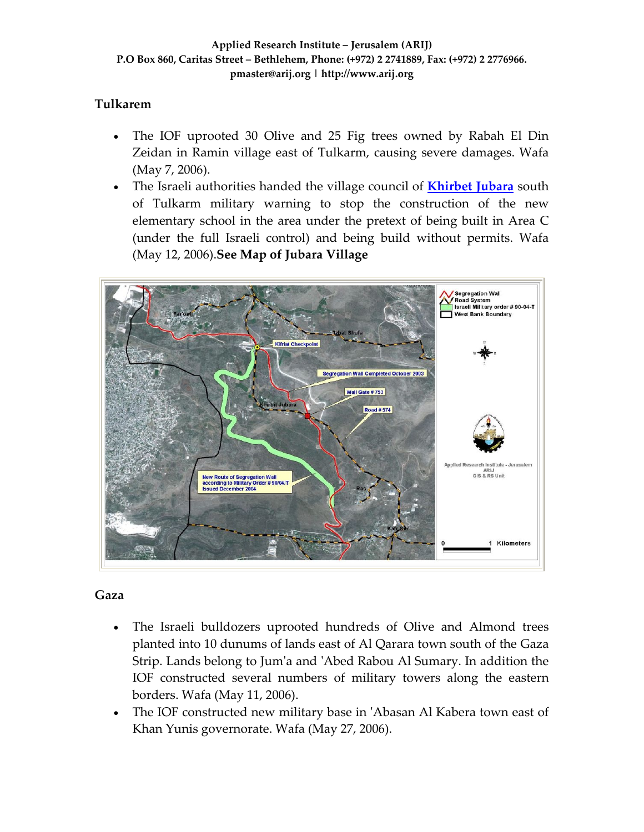## **Tulkarem**

- The IOF uprooted 30 Olive and 25 Fig trees owned by Rabah El Din Zeidan in Ramin village east of Tulkarm, causing severe damages. Wafa (May 7, 2006).
- The Israeli authorities handed the village council of **[Khirbet](http://www.poica.org/editor/case_studies/view.php?recordID=693) Jubara** south of Tulkarm military warning to stop the construction of the new elementary school in the area under the pretext of being built in Area C (under the full Israeli control) and being build without permits. Wafa (May 12, 2006).**See Map of Jubara Village**



## **Gaza**

- The Israeli bulldozers uprooted hundreds of Olive and Almond trees planted into 10 dunums of lands east of Al Qarara town south of the Gaza Strip. Lands belong to Jumʹa and ʹAbed Rabou Al Sumary. In addition the IOF constructed several numbers of military towers along the eastern borders. Wafa (May 11, 2006).
- The IOF constructed new military base in ʹAbasan Al Kabera town east of Khan Yunis governorate. Wafa (May 27, 2006).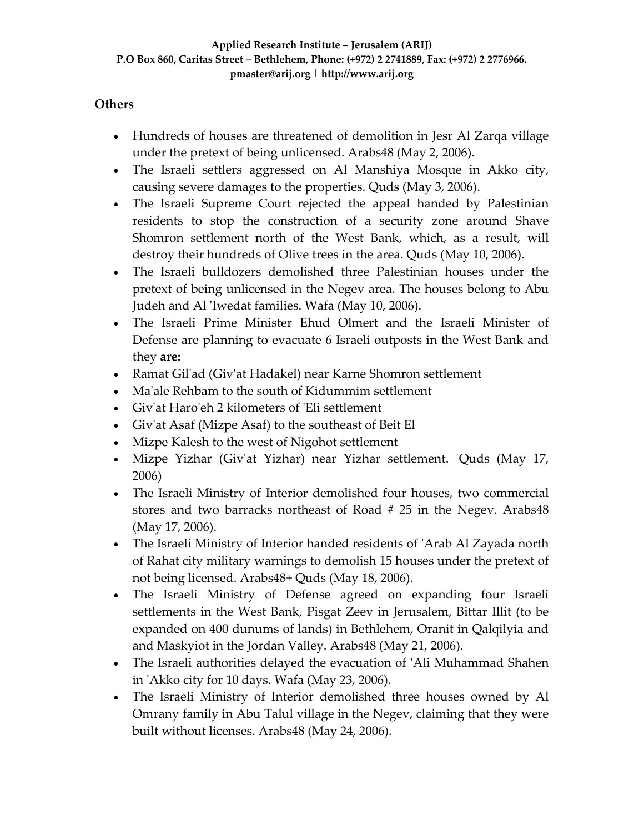### **Others**

- Hundreds of houses are threatened of demolition in Jesr Al Zarqa village under the pretext of being unlicensed. Arabs48 (May 2, 2006).
- The Israeli settlers aggressed on Al Manshiya Mosque in Akko city, causing severe damages to the properties. Quds (May 3, 2006).
- The Israeli Supreme Court rejected the appeal handed by Palestinian residents to stop the construction of a security zone around Shave Shomron settlement north of the West Bank, which, as a result, will destroy their hundreds of Olive trees in the area. Quds (May 10, 2006).
- The Israeli bulldozers demolished three Palestinian houses under the pretext of being unlicensed in the Negev area. The houses belong to Abu Judeh and Al 'Iwedat families. Wafa (May 10, 2006).
- The Israeli Prime Minister Ehud Olmert and the Israeli Minister of Defense are planning to evacuate 6 Israeli outposts in the West Bank and they **are:**
- Ramat Gil'ad (Giv'at Hadakel) near Karne Shomron settlement
- Ma'ale Rehbam to the south of Kidummim settlement
- Giv'at Haro'eh 2 kilometers of 'Eli settlement
- Giv'at Asaf (Mizpe Asaf) to the southeast of Beit El
- Mizpe Kalesh to the west of Nigohot settlement
- Mizpe Yizhar (Giv'at Yizhar) near Yizhar settlement. Quds (May 17, 2006)
- The Israeli Ministry of Interior demolished four houses, two commercial stores and two barracks northeast of Road # 25 in the Negev. Arabs48 (May 17, 2006).
- The Israeli Ministry of Interior handed residents of ʹArab Al Zayada north of Rahat city military warnings to demolish 15 houses under the pretext of not being licensed. Arabs48+ Quds (May 18, 2006).
- The Israeli Ministry of Defense agreed on expanding four Israeli settlements in the West Bank, Pisgat Zeev in Jerusalem, Bittar Illit (to be expanded on 400 dunums of lands) in Bethlehem, Oranit in Qalqilyia and and Maskyiot in the Jordan Valley. Arabs48 (May 21, 2006).
- The Israeli authorities delayed the evacuation of 'Ali Muhammad Shahen in ʹAkko city for 10 days. Wafa (May 23, 2006).
- The Israeli Ministry of Interior demolished three houses owned by Al Omrany family in Abu Talul village in the Negev, claiming that they were built without licenses. Arabs48 (May 24, 2006).